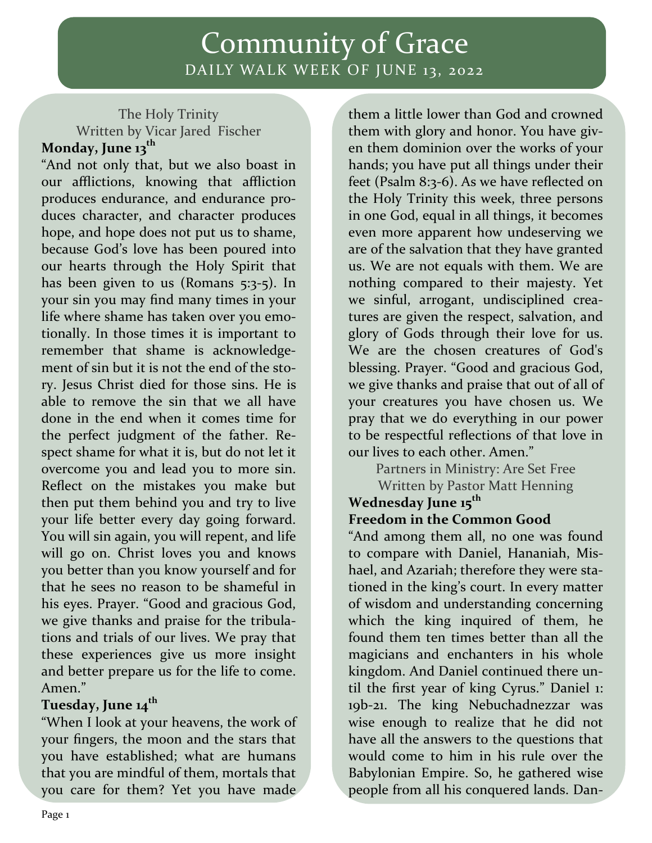# Community of Grace DAILY WALK WEEK OF JUNE 13, 2022

## The Holy Trinity Written by Vicar Jared Fischer **Monday, June 13th**

"And not only that, but we also boast in our afflictions, knowing that affliction produces endurance, and endurance pro‐ duces character, and character produces hope, and hope does not put us to shame, because God's love has been poured into our hearts through the Holy Spirit that has been given to us (Romans 5:3-5). In your sin you may find many times in your life where shame has taken over you emo‐ tionally. In those times it is important to remember that shame is acknowledge‐ ment of sin but it is not the end of the story. Jesus Christ died for those sins. He is able to remove the sin that we all have done in the end when it comes time for the perfect judgment of the father. Re‐ spect shame for what it is, but do not let it overcome you and lead you to more sin. Reflect on the mistakes you make but then put them behind you and try to live your life better every day going forward. You will sin again, you will repent, and life will go on. Christ loves you and knows you better than you know yourself and for that he sees no reason to be shameful in his eyes. Prayer. "Good and gracious God, we give thanks and praise for the tribulations and trials of our lives. We pray that these experiences give us more insight and better prepare us for the life to come. Amen."

## **Tuesday, June 14th**

"When I look at your heavens, the work of your fingers, the moon and the stars that you have established; what are humans that you are mindful of them, mortals that you care for them? Yet you have made

them a little lower than God and crowned them with glory and honor. You have giv‐ en them dominion over the works of your hands; you have put all things under their feet (Psalm 8:3‐6). As we have reflected on the Holy Trinity this week, three persons in one God, equal in all things, it becomes even more apparent how undeserving we are of the salvation that they have granted us. We are not equals with them. We are nothing compared to their majesty. Yet we sinful, arrogant, undisciplined creatures are given the respect, salvation, and glory of Gods through their love for us. We are the chosen creatures of God's blessing. Prayer. "Good and gracious God, we give thanks and praise that out of all of your creatures you have chosen us. We pray that we do everything in our power to be respectful reflections of that love in our lives to each other. Amen."

Partners in Ministry: Are Set Free Written by Pastor Matt Henning

#### **Wednesday June 15th Freedom in the Common Good**

"And among them all, no one was found to compare with Daniel, Hananiah, Mis‐ hael, and Azariah; therefore they were stationed in the king's court. In every matter of wisdom and understanding concerning which the king inquired of them, he found them ten times better than all the magicians and enchanters in his whole kingdom. And Daniel continued there un‐ til the first year of king Cyrus." Daniel 1: 19b-21. The king Nebuchadnezzar was wise enough to realize that he did not have all the answers to the questions that would come to him in his rule over the Babylonian Empire. So, he gathered wise people from all his conquered lands. Dan‐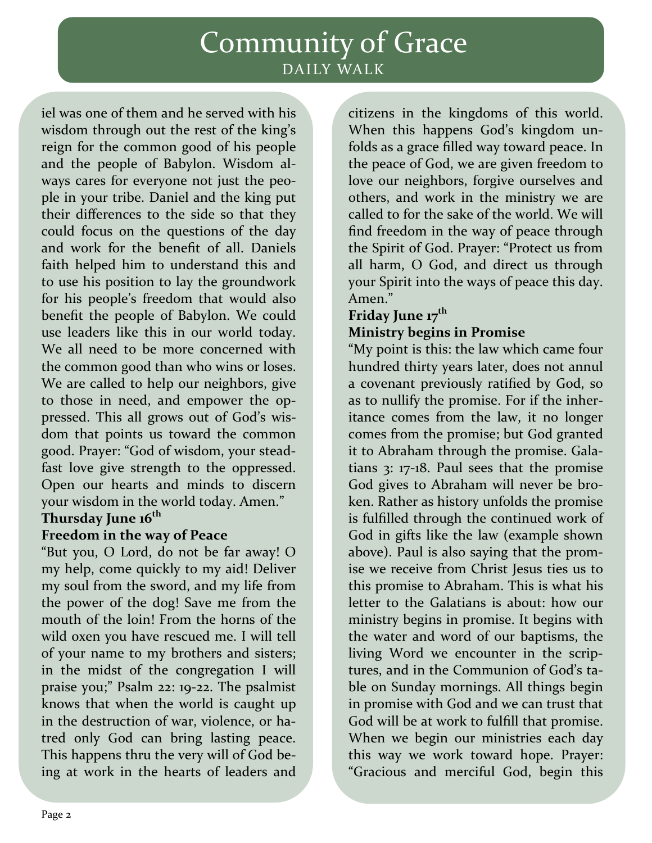# Community of Grace DAILY WALK

iel was one of them and he served with his wisdom through out the rest of the king's reign for the common good of his people and the people of Babylon. Wisdom al‐ ways cares for everyone not just the peo‐ ple in your tribe. Daniel and the king put their differences to the side so that they could focus on the questions of the day and work for the benefit of all. Daniels faith helped him to understand this and to use his position to lay the groundwork for his people's freedom that would also benefit the people of Babylon. We could use leaders like this in our world today. We all need to be more concerned with the common good than who wins or loses. We are called to help our neighbors, give to those in need, and empower the oppressed. This all grows out of God's wis‐ dom that points us toward the common good. Prayer: "God of wisdom, your stead‐ fast love give strength to the oppressed. Open our hearts and minds to discern your wisdom in the world today. Amen."

### **Thursday June 16th**

## **Freedom in the way of Peace**

"But you, O Lord, do not be far away! O my help, come quickly to my aid! Deliver my soul from the sword, and my life from the power of the dog! Save me from the mouth of the loin! From the horns of the wild oxen you have rescued me. I will tell of your name to my brothers and sisters; in the midst of the congregation I will praise you;" Psalm 22: 19‐22. The psalmist knows that when the world is caught up in the destruction of war, violence, or hatred only God can bring lasting peace. This happens thru the very will of God be‐ ing at work in the hearts of leaders and

citizens in the kingdoms of this world. When this happens God's kingdom unfolds as a grace filled way toward peace. In the peace of God, we are given freedom to love our neighbors, forgive ourselves and others, and work in the ministry we are called to for the sake of the world. We will find freedom in the way of peace through the Spirit of God. Prayer: "Protect us from all harm, O God, and direct us through your Spirit into the ways of peace this day. Amen."

## **Friday June 17th Ministry begins in Promise**

"My point is this: the law which came four hundred thirty years later, does not annul a covenant previously ratified by God, so as to nullify the promise. For if the inher‐ itance comes from the law, it no longer comes from the promise; but God granted it to Abraham through the promise. Gala‐ tians 3: 17‐18. Paul sees that the promise God gives to Abraham will never be bro‐ ken. Rather as history unfolds the promise is fulfilled through the continued work of God in gifts like the law (example shown above). Paul is also saying that the prom‐ ise we receive from Christ Jesus ties us to this promise to Abraham. This is what his letter to the Galatians is about: how our ministry begins in promise. It begins with the water and word of our baptisms, the living Word we encounter in the scrip‐ tures, and in the Communion of God's table on Sunday mornings. All things begin in promise with God and we can trust that God will be at work to fulfill that promise. When we begin our ministries each day this way we work toward hope. Prayer: "Gracious and merciful God, begin this